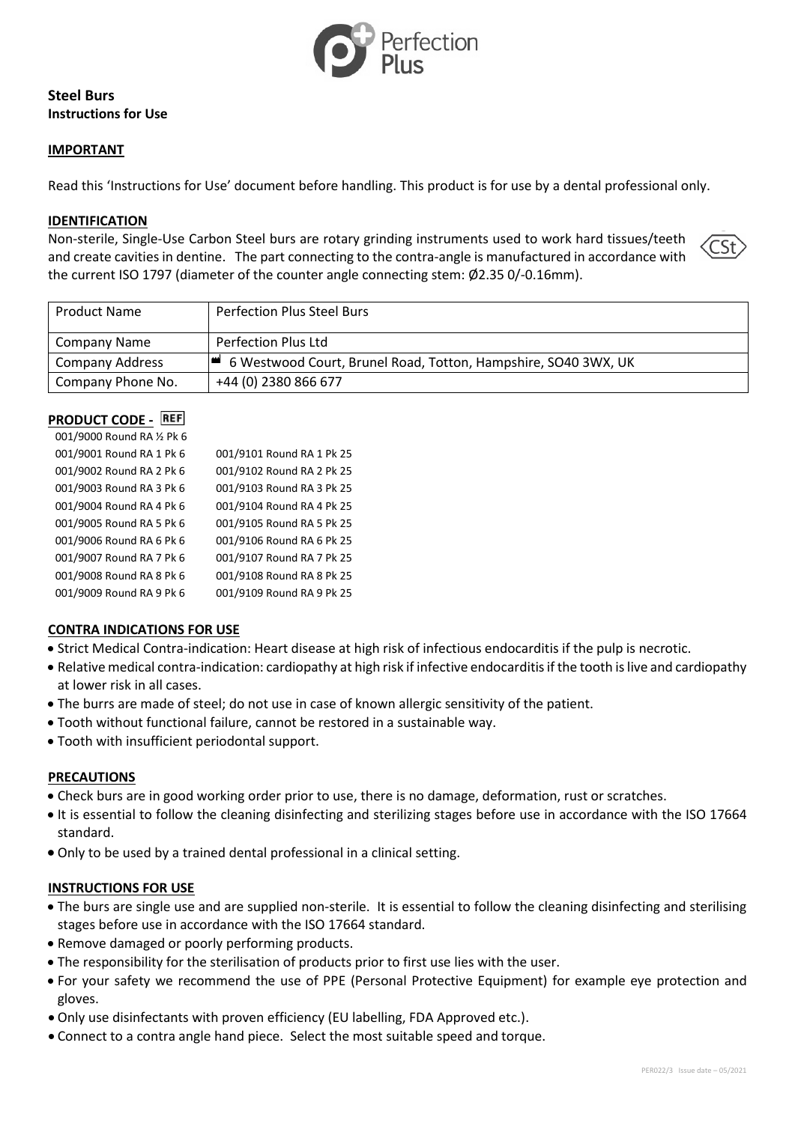

# **Steel Burs Instructions for Use**

### **IMPORTANT**

Read this 'Instructions for Use' document before handling. This product is for use by a dental professional only.

#### **IDENTIFICATION**

Non-sterile, Single-Use Carbon Steel burs are rotary grinding instruments used to work hard tissues/teeth and create cavities in dentine. The part connecting to the contra-angle is manufactured in accordance with the current ISO 1797 (diameter of the counter angle connecting stem: Ø2.35 0/-0.16mm).



| <b>Product Name</b>    | <b>Perfection Plus Steel Burs</b>                              |
|------------------------|----------------------------------------------------------------|
| Company Name           | Perfection Plus Ltd                                            |
| <b>Company Address</b> | 6 Westwood Court, Brunel Road, Totton, Hampshire, SO40 3WX, UK |
| Company Phone No.      | +44 (0) 2380 866 677                                           |

#### **PRODUCT CODE -** REF 001/9000 Round RA ½ Pk 6

| 001/0000 1100110 11A 72 L R 0 |                           |
|-------------------------------|---------------------------|
| 001/9001 Round RA 1 Pk 6      | 001/9101 Round RA 1 Pk 25 |
| 001/9002 Round RA 2 Pk 6      | 001/9102 Round RA 2 Pk 25 |
| 001/9003 Round RA 3 Pk 6      | 001/9103 Round RA 3 Pk 25 |
| 001/9004 Round RA 4 Pk 6      | 001/9104 Round RA 4 Pk 25 |
| 001/9005 Round RA 5 Pk 6      | 001/9105 Round RA 5 Pk 25 |
| 001/9006 Round RA 6 Pk 6      | 001/9106 Round RA 6 Pk 25 |
| 001/9007 Round RA 7 Pk 6      | 001/9107 Round RA 7 Pk 25 |
| 001/9008 Round RA 8 Pk 6      | 001/9108 Round RA 8 Pk 25 |
| 001/9009 Round RA 9 Pk 6      | 001/9109 Round RA 9 Pk 25 |

### **CONTRA INDICATIONS FOR USE**

- Strict Medical Contra-indication: Heart disease at high risk of infectious endocarditis if the pulp is necrotic.
- Relative medical contra-indication: cardiopathy at high risk if infective endocarditis if the tooth is live and cardiopathy at lower risk in all cases.
- The burrs are made of steel; do not use in case of known allergic sensitivity of the patient.
- Tooth without functional failure, cannot be restored in a sustainable way.
- Tooth with insufficient periodontal support.

#### **PRECAUTIONS**

- Check burs are in good working order prior to use, there is no damage, deformation, rust or scratches.
- It is essential to follow the cleaning disinfecting and sterilizing stages before use in accordance with the ISO 17664 standard.
- Only to be used by a trained dental professional in a clinical setting.

#### **INSTRUCTIONS FOR USE**

- The burs are single use and are supplied non-sterile. It is essential to follow the cleaning disinfecting and sterilising stages before use in accordance with the ISO 17664 standard.
- Remove damaged or poorly performing products.
- The responsibility for the sterilisation of products prior to first use lies with the user.
- For your safety we recommend the use of PPE (Personal Protective Equipment) for example eye protection and gloves.
- Only use disinfectants with proven efficiency (EU labelling, FDA Approved etc.).
- Connect to a contra angle hand piece. Select the most suitable speed and torque.